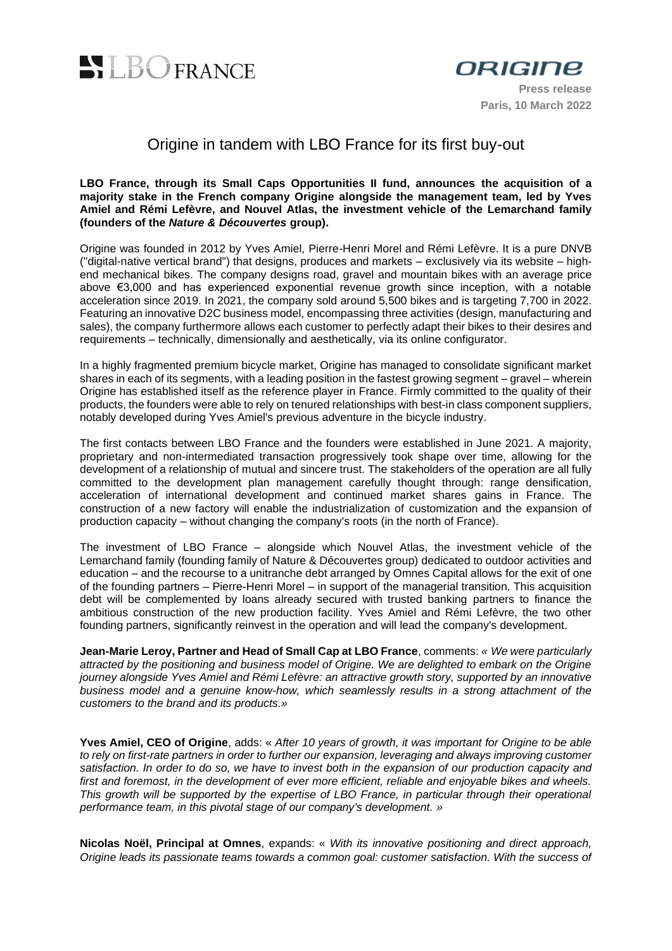



## Origine in tandem with LBO France for its first buy-out

#### **LBO France, through its Small Caps Opportunities II fund, announces the acquisition of a majority stake in the French company Origine alongside the management team, led by Yves Amiel and Rémi Lefèvre, and Nouvel Atlas, the investment vehicle of the Lemarchand family (founders of the** *Nature & Découvertes* **group).**

Origine was founded in 2012 by Yves Amiel, Pierre-Henri Morel and Rémi Lefèvre. It is a pure DNVB ("digital-native vertical brand") that designs, produces and markets – exclusively via its website – highend mechanical bikes. The company designs road, gravel and mountain bikes with an average price above €3,000 and has experienced exponential revenue growth since inception, with a notable acceleration since 2019. In 2021, the company sold around 5,500 bikes and is targeting 7,700 in 2022. Featuring an innovative D2C business model, encompassing three activities (design, manufacturing and sales), the company furthermore allows each customer to perfectly adapt their bikes to their desires and requirements – technically, dimensionally and aesthetically, via its online configurator.

In a highly fragmented premium bicycle market, Origine has managed to consolidate significant market shares in each of its segments, with a leading position in the fastest growing segment – gravel – wherein Origine has established itself as the reference player in France. Firmly committed to the quality of their products, the founders were able to rely on tenured relationships with best-in class component suppliers, notably developed during Yves Amiel's previous adventure in the bicycle industry.

The first contacts between LBO France and the founders were established in June 2021. A majority, proprietary and non-intermediated transaction progressively took shape over time, allowing for the development of a relationship of mutual and sincere trust. The stakeholders of the operation are all fully committed to the development plan management carefully thought through: range densification, acceleration of international development and continued market shares gains in France. The construction of a new factory will enable the industrialization of customization and the expansion of production capacity – without changing the company's roots (in the north of France).

The investment of LBO France – alongside which Nouvel Atlas, the investment vehicle of the Lemarchand family (founding family of Nature & Découvertes group) dedicated to outdoor activities and education – and the recourse to a unitranche debt arranged by Omnes Capital allows for the exit of one of the founding partners – Pierre-Henri Morel – in support of the managerial transition. This acquisition debt will be complemented by loans already secured with trusted banking partners to finance the ambitious construction of the new production facility. Yves Amiel and Rémi Lefèvre, the two other founding partners, significantly reinvest in the operation and will lead the company's development.

**Jean-Marie Leroy, Partner and Head of Small Cap at LBO France**, comments: *« We were particularly attracted by the positioning and business model of Origine. We are delighted to embark on the Origine journey alongside Yves Amiel and Rémi Lefèvre: an attractive growth story, supported by an innovative business model and a genuine know-how, which seamlessly results in a strong attachment of the customers to the brand and its products.»*

**Yves Amiel, CEO of Origine**, adds: « *After 10 years of growth, it was important for Origine to be able to rely on first-rate partners in order to further our expansion, leveraging and always improving customer satisfaction. In order to do so, we have to invest both in the expansion of our production capacity and first and foremost, in the development of ever more efficient, reliable and enjoyable bikes and wheels. This growth will be supported by the expertise of LBO France, in particular through their operational performance team, in this pivotal stage of our company's development. »*

**Nicolas Noël, Principal at Omnes**, expands: « *With its innovative positioning and direct approach, Origine leads its passionate teams towards a common goal: customer satisfaction. With the success of*